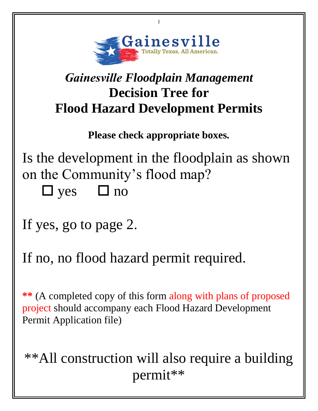

1

## *Gainesville Floodplain Management*  **Decision Tree for Flood Hazard Development Permits**

**Please check appropriate boxes.** 

Is the development in the floodplain as shown on the Community's flood map?  $\Box$  yes  $\Box$  no

If yes, go to page 2.

If no, no flood hazard permit required.

**\*\*** (A completed copy of this form along with plans of proposed project should accompany each Flood Hazard Development Permit Application file)

## \*\*All construction will also require a building permit\*\*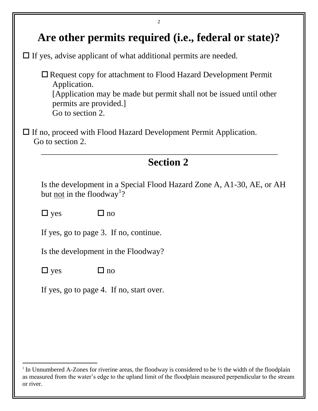| 2                                                                                                                                                                                                         |
|-----------------------------------------------------------------------------------------------------------------------------------------------------------------------------------------------------------|
| Are other permits required (i.e., federal or state)?                                                                                                                                                      |
| $\Box$ If yes, advise applicant of what additional permits are needed.                                                                                                                                    |
| $\Box$ Request copy for attachment to Flood Hazard Development Permit<br>Application.<br>[Application may be made but permit shall not be issued until other<br>permits are provided.<br>Go to section 2. |
| $\Box$ If no, proceed with Flood Hazard Development Permit Application.<br>Go to section 2.                                                                                                               |
| <b>Section 2</b>                                                                                                                                                                                          |
| Is the development in a Special Flood Hazard Zone A, A1-30, AE, or AH<br>but <u>not</u> in the floodway <sup>1</sup> ?                                                                                    |
| $\Box$ yes<br>$\square$ no                                                                                                                                                                                |
| If yes, go to page 3. If no, continue.                                                                                                                                                                    |
| Is the development in the Floodway?                                                                                                                                                                       |
| $\Box$ no<br>$\Box$ yes                                                                                                                                                                                   |
| If yes, go to page 4. If no, start over.                                                                                                                                                                  |
|                                                                                                                                                                                                           |
|                                                                                                                                                                                                           |
|                                                                                                                                                                                                           |

 $\overline{a}$ 

<sup>&</sup>lt;sup>1</sup> In Unnumbered A-Zones for riverine areas, the floodway is considered to be  $\frac{1}{2}$  the width of the floodplain as measured from the water's edge to the upland limit of the floodplain measured perpendicular to the stream or river.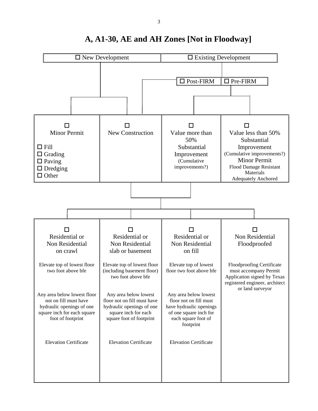

## **A, A1-30, AE and AH Zones [Not in Floodway]**